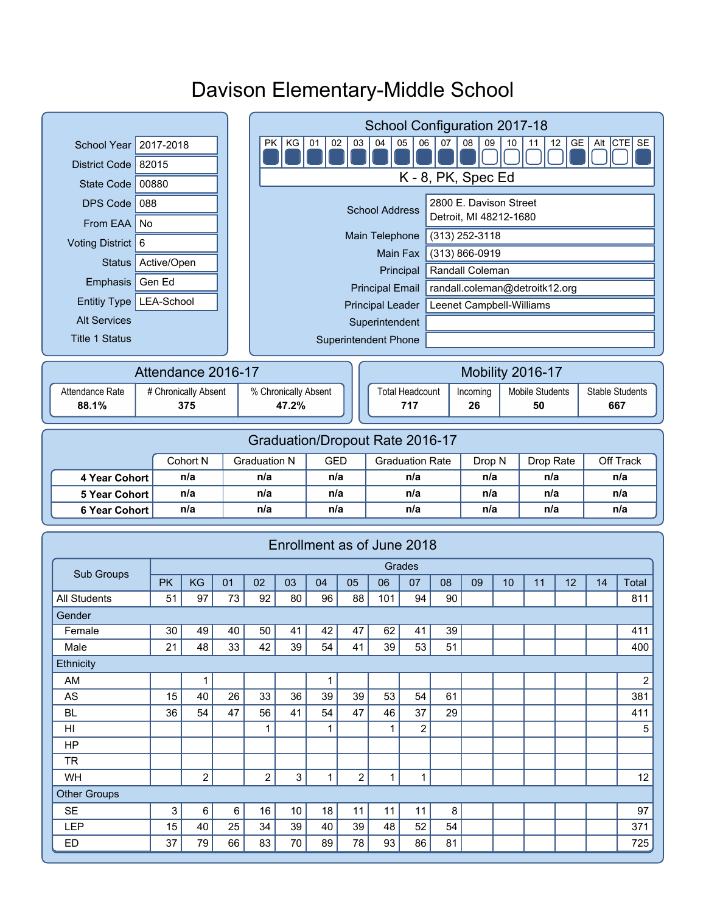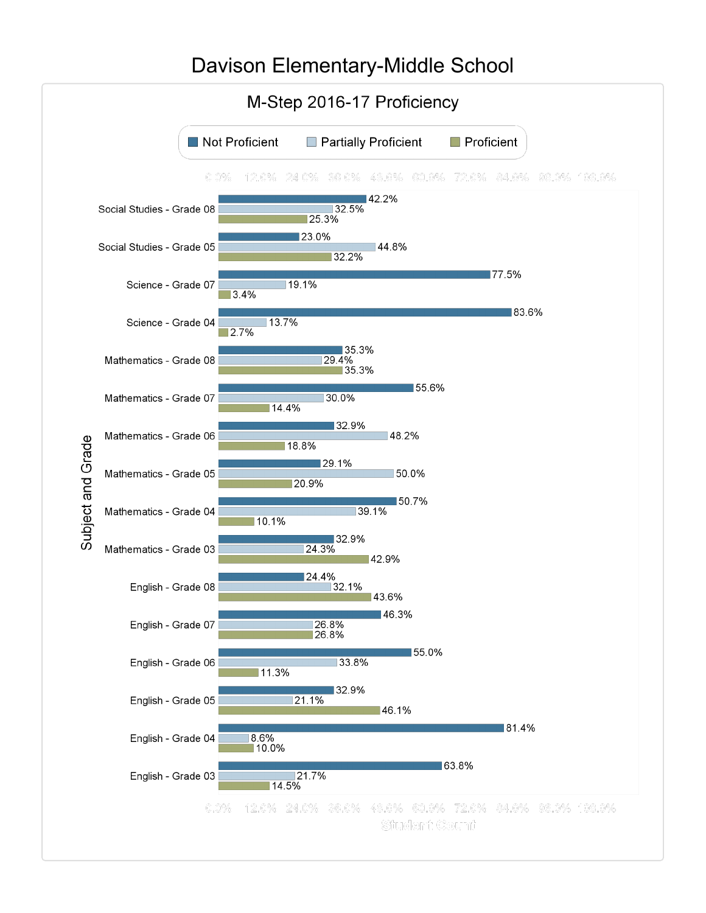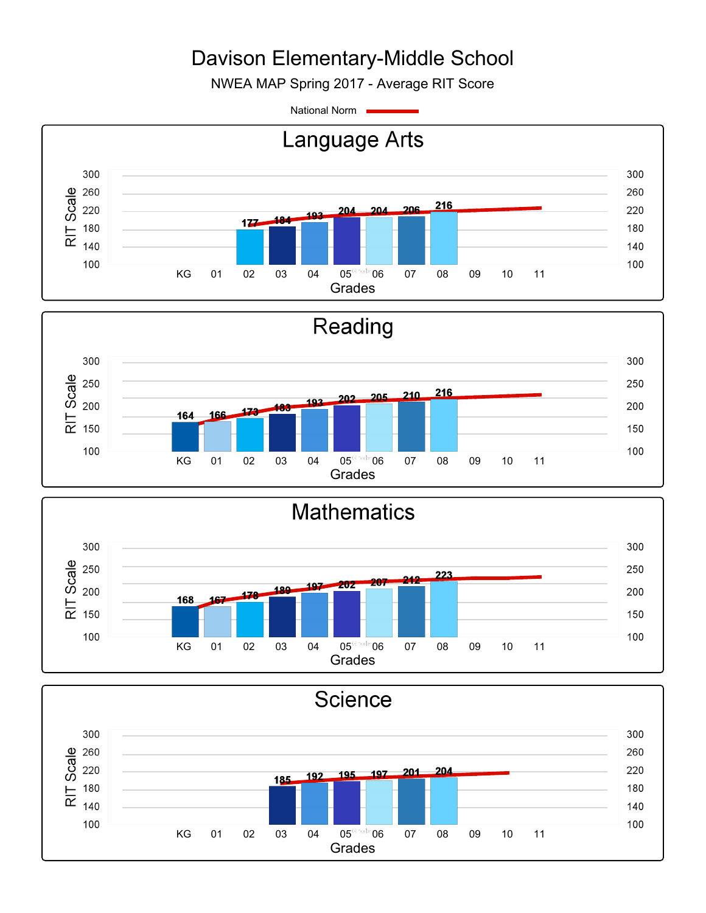NWEA MAP Spring 2017 - Average RIT Score

National Norm